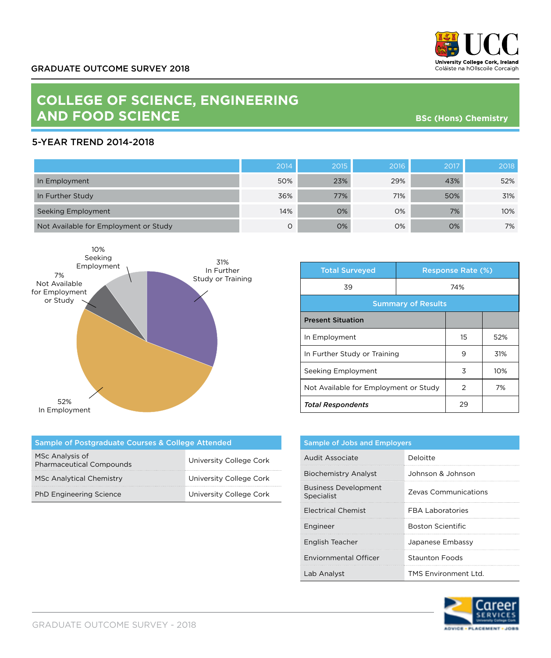

## **COLLEGE OF SCIENCE, ENGINEERING AND FOOD SCIENCE**

**BSc (Hons) Chemistry**

## 5-YEAR TREND 2014-2018

|                                       | 2014 | 2015 | 2016 | 2017 | 2018 |
|---------------------------------------|------|------|------|------|------|
| In Employment                         | 50%  | 23%  | 29%  | 43%  | 52%  |
| In Further Study                      | 36%  | 77%  | 71%  | 50%  | 31%  |
| Seeking Employment                    | 14%  | 0%   | 0%   | 7%   | 10%  |
| Not Available for Employment or Study | Ο    | 0%   | 0%   | 0%   | 7%   |



| <b>Total Surveyed</b>                 | <b>Response Rate (%)</b> |    |     |
|---------------------------------------|--------------------------|----|-----|
| 39                                    | 74%                      |    |     |
| <b>Summary of Results</b>             |                          |    |     |
| <b>Present Situation</b>              |                          |    |     |
| In Employment                         |                          | 15 | 52% |
| In Further Study or Training          |                          | 9  | 31% |
| Seeking Employment                    |                          | 3  | 10% |
| Not Available for Employment or Study |                          | 2  | 7%  |
| <b>Total Respondents</b>              |                          | 29 |     |

| Sample of Postgraduate Courses & College Attended  |                         |  |  |
|----------------------------------------------------|-------------------------|--|--|
| MSc Analysis of<br><b>Pharmaceutical Compounds</b> | University College Cork |  |  |
| <b>MSc Analytical Chemistry</b>                    | University College Cork |  |  |
| <b>PhD Engineering Science</b>                     | University College Cork |  |  |

| <b>Sample of Jobs and Employers</b>       |                          |  |
|-------------------------------------------|--------------------------|--|
| Audit Associate                           | Deloitte                 |  |
| <b>Biochemistry Analyst</b>               | Johnson & Johnson        |  |
| <b>Business Development</b><br>Specialist | Zevas Communications     |  |
| <b>Electrical Chemist</b>                 | <b>FRA Laboratories</b>  |  |
| Engineer                                  | <b>Boston Scientific</b> |  |
| English Teacher                           | Japanese Embassy         |  |
| <b>Enviornmental Officer</b>              | <b>Staunton Foods</b>    |  |
| Lab Analyst                               | TMS Environment I td.    |  |